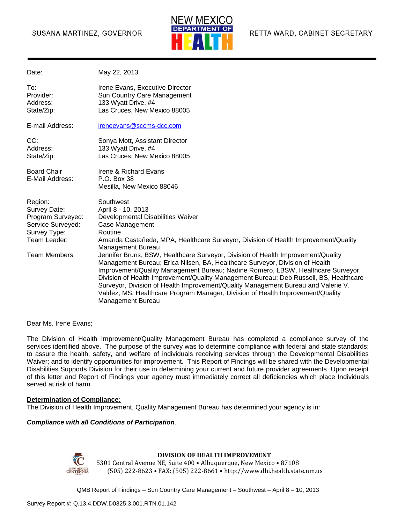#### SUSANA MARTINEZ, GOVERNOR



| Date:                                                                                                              | May 22, 2013                                                                                                                                                                                                                                                                                                                                                                                                                                                                                                                                                                                                                                                                                                                                                             |
|--------------------------------------------------------------------------------------------------------------------|--------------------------------------------------------------------------------------------------------------------------------------------------------------------------------------------------------------------------------------------------------------------------------------------------------------------------------------------------------------------------------------------------------------------------------------------------------------------------------------------------------------------------------------------------------------------------------------------------------------------------------------------------------------------------------------------------------------------------------------------------------------------------|
| To:<br>Provider:<br>Address:<br>State/Zip:                                                                         | Irene Evans, Executive Director<br>Sun Country Care Management<br>133 Wyatt Drive, #4<br>Las Cruces, New Mexico 88005                                                                                                                                                                                                                                                                                                                                                                                                                                                                                                                                                                                                                                                    |
| E-mail Address:                                                                                                    | ireneevans@sccms-dcc.com                                                                                                                                                                                                                                                                                                                                                                                                                                                                                                                                                                                                                                                                                                                                                 |
| CC:<br>Address:<br>State/Zip:                                                                                      | Sonya Mott, Assistant Director<br>133 Wyatt Drive, #4<br>Las Cruces, New Mexico 88005                                                                                                                                                                                                                                                                                                                                                                                                                                                                                                                                                                                                                                                                                    |
| <b>Board Chair</b><br>E-Mail Address:                                                                              | <b>Irene &amp; Richard Evans</b><br>P.O. Box 38<br>Mesilla, New Mexico 88046                                                                                                                                                                                                                                                                                                                                                                                                                                                                                                                                                                                                                                                                                             |
| Region:<br>Survey Date:<br>Program Surveyed:<br>Service Surveyed:<br>Survey Type:<br>Team Leader:<br>Team Members: | Southwest<br>April 8 - 10, 2013<br>Developmental Disabilities Waiver<br>Case Management<br>Routine<br>Amanda Castañeda, MPA, Healthcare Surveyor, Division of Health Improvement/Quality<br><b>Management Bureau</b><br>Jennifer Bruns, BSW, Healthcare Surveyor, Division of Health Improvement/Quality<br>Management Bureau; Erica Nilsen, BA, Healthcare Surveyor, Division of Health<br>Improvement/Quality Management Bureau; Nadine Romero, LBSW, Healthcare Surveyor,<br>Division of Health Improvement/Quality Management Bureau; Deb Russell, BS, Healthcare<br>Surveyor, Division of Health Improvement/Quality Management Bureau and Valerie V.<br>Valdez, MS, Healthcare Program Manager, Division of Health Improvement/Quality<br><b>Management Bureau</b> |

Dear Ms. Irene Evans;

The Division of Health Improvement/Quality Management Bureau has completed a compliance survey of the services identified above. The purpose of the survey was to determine compliance with federal and state standards; to assure the health, safety, and welfare of individuals receiving services through the Developmental Disabilities Waiver; and to identify opportunities for improvement. This Report of Findings will be shared with the Developmental Disabilities Supports Division for their use in determining your current and future provider agreements. Upon receipt of this letter and Report of Findings your agency must immediately correct all deficiencies which place Individuals served at risk of harm.

#### **Determination of Compliance:**

The Division of Health Improvement, Quality Management Bureau has determined your agency is in:

#### *Compliance with all Conditions of Participation*.



#### **DIVISION OF HEALTH IMPROVEMENT**

5301 Central Avenue NE, Suite 400 • Albuquerque, New Mexico • 87108 (505) 222-8623 • FAX: (505) 222-8661 • http://www.dhi.health.state.nm.us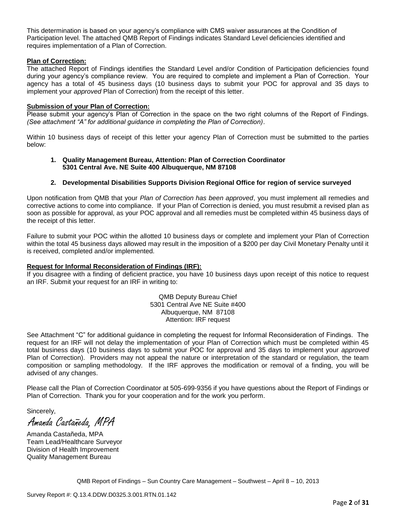This determination is based on your agency's compliance with CMS waiver assurances at the Condition of Participation level. The attached QMB Report of Findings indicates Standard Level deficiencies identified and requires implementation of a Plan of Correction.

#### **Plan of Correction:**

The attached Report of Findings identifies the Standard Level and/or Condition of Participation deficiencies found during your agency's compliance review. You are required to complete and implement a Plan of Correction. Your agency has a total of 45 business days (10 business days to submit your POC for approval and 35 days to implement your *approved* Plan of Correction) from the receipt of this letter.

#### **Submission of your Plan of Correction:**

Please submit your agency's Plan of Correction in the space on the two right columns of the Report of Findings. *(See attachment "A" for additional guidance in completing the Plan of Correction)*.

Within 10 business days of receipt of this letter your agency Plan of Correction must be submitted to the parties below:

#### **1. Quality Management Bureau, Attention: Plan of Correction Coordinator 5301 Central Ave. NE Suite 400 Albuquerque, NM 87108**

#### **2. Developmental Disabilities Supports Division Regional Office for region of service surveyed**

Upon notification from QMB that your *Plan of Correction has been approved*, you must implement all remedies and corrective actions to come into compliance. If your Plan of Correction is denied, you must resubmit a revised plan as soon as possible for approval, as your POC approval and all remedies must be completed within 45 business days of the receipt of this letter.

Failure to submit your POC within the allotted 10 business days or complete and implement your Plan of Correction within the total 45 business days allowed may result in the imposition of a \$200 per day Civil Monetary Penalty until it is received, completed and/or implemented.

#### **Request for Informal Reconsideration of Findings (IRF):**

If you disagree with a finding of deficient practice, you have 10 business days upon receipt of this notice to request an IRF. Submit your request for an IRF in writing to:

> QMB Deputy Bureau Chief 5301 Central Ave NE Suite #400 Albuquerque, NM 87108 Attention: IRF request

See Attachment "C" for additional guidance in completing the request for Informal Reconsideration of Findings. The request for an IRF will not delay the implementation of your Plan of Correction which must be completed within 45 total business days (10 business days to submit your POC for approval and 35 days to implement your *approved* Plan of Correction). Providers may not appeal the nature or interpretation of the standard or regulation, the team composition or sampling methodology. If the IRF approves the modification or removal of a finding, you will be advised of any changes.

Please call the Plan of Correction Coordinator at 505-699-9356 if you have questions about the Report of Findings or Plan of Correction. Thank you for your cooperation and for the work you perform.

Sincerely,

Amanda Castañeda, MPA

Amanda Castañeda, MPA Team Lead/Healthcare Surveyor Division of Health Improvement Quality Management Bureau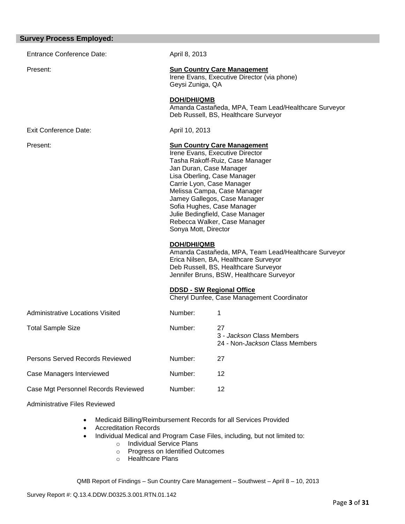| <b>Survey Process Employed:</b>         |                                                                                                                                                                                                                                                                                                                                                                                         |                                                                                                                                                                                   |
|-----------------------------------------|-----------------------------------------------------------------------------------------------------------------------------------------------------------------------------------------------------------------------------------------------------------------------------------------------------------------------------------------------------------------------------------------|-----------------------------------------------------------------------------------------------------------------------------------------------------------------------------------|
| <b>Entrance Conference Date:</b>        | April 8, 2013                                                                                                                                                                                                                                                                                                                                                                           |                                                                                                                                                                                   |
| Present:                                | Geysi Zuniga, QA                                                                                                                                                                                                                                                                                                                                                                        | <b>Sun Country Care Management</b><br>Irene Evans, Executive Director (via phone)                                                                                                 |
|                                         | <b>DOH/DHI/QMB</b>                                                                                                                                                                                                                                                                                                                                                                      | Amanda Castañeda, MPA, Team Lead/Healthcare Surveyor<br>Deb Russell, BS, Healthcare Surveyor                                                                                      |
| <b>Exit Conference Date:</b>            | April 10, 2013                                                                                                                                                                                                                                                                                                                                                                          |                                                                                                                                                                                   |
| Present:                                | <b>Sun Country Care Management</b><br>Irene Evans, Executive Director<br>Tasha Rakoff-Ruiz, Case Manager<br>Jan Duran, Case Manager<br>Lisa Oberling, Case Manager<br>Carrie Lyon, Case Manager<br>Melissa Campa, Case Manager<br>Jamey Gallegos, Case Manager<br>Sofia Hughes, Case Manager<br>Julie Bedingfield, Case Manager<br>Rebecca Walker, Case Manager<br>Sonya Mott, Director |                                                                                                                                                                                   |
|                                         | DOH/DHI/QMB                                                                                                                                                                                                                                                                                                                                                                             | Amanda Castañeda, MPA, Team Lead/Healthcare Surveyor<br>Erica Nilsen, BA, Healthcare Surveyor<br>Deb Russell, BS, Healthcare Surveyor<br>Jennifer Bruns, BSW, Healthcare Surveyor |
|                                         | <b>DDSD - SW Regional Office</b>                                                                                                                                                                                                                                                                                                                                                        | Cheryl Dunfee, Case Management Coordinator                                                                                                                                        |
| <b>Administrative Locations Visited</b> | Number:                                                                                                                                                                                                                                                                                                                                                                                 | 1                                                                                                                                                                                 |
| <b>Total Sample Size</b>                | Number:                                                                                                                                                                                                                                                                                                                                                                                 | 27<br>3 - Jackson Class Members<br>24 - Non-Jackson Class Members                                                                                                                 |
| Persons Served Records Reviewed         | Number:                                                                                                                                                                                                                                                                                                                                                                                 | 27                                                                                                                                                                                |
| Case Managers Interviewed               | Number:                                                                                                                                                                                                                                                                                                                                                                                 | 12                                                                                                                                                                                |
| Case Mgt Personnel Records Reviewed     | Number:                                                                                                                                                                                                                                                                                                                                                                                 | 12                                                                                                                                                                                |
|                                         |                                                                                                                                                                                                                                                                                                                                                                                         |                                                                                                                                                                                   |

Administrative Files Reviewed

- Medicaid Billing/Reimbursement Records for all Services Provided
- Accreditation Records
- Individual Medical and Program Case Files, including, but not limited to:
	- o Individual Service Plans
		- o Progress on Identified Outcomes
		- o Healthcare Plans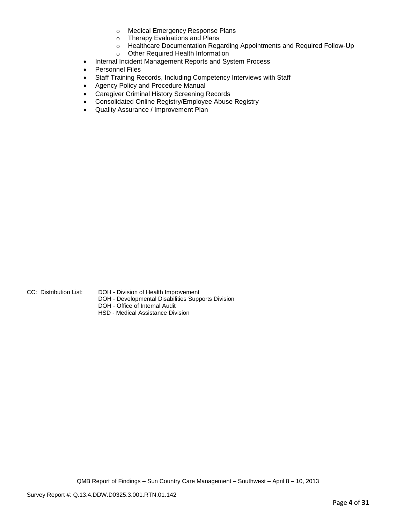- o Medical Emergency Response Plans
- o Therapy Evaluations and Plans
- o Healthcare Documentation Regarding Appointments and Required Follow-Up
- o Other Required Health Information
- Internal Incident Management Reports and System Process
- Personnel Files
- Staff Training Records, Including Competency Interviews with Staff
- Agency Policy and Procedure Manual
- Caregiver Criminal History Screening Records
- Consolidated Online Registry/Employee Abuse Registry
- Quality Assurance / Improvement Plan

- CC: Distribution List: DOH Division of Health Improvement
	- DOH Developmental Disabilities Supports Division
	- DOH Office of Internal Audit
	- HSD Medical Assistance Division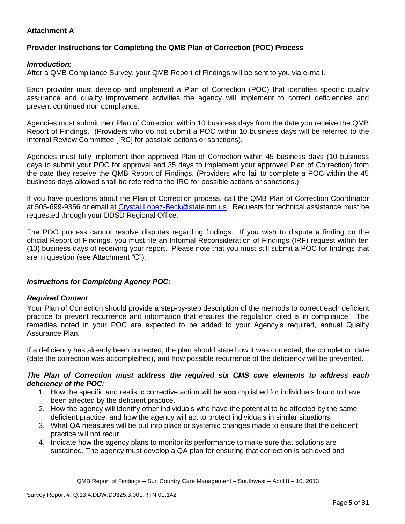## **Attachment A**

## **Provider Instructions for Completing the QMB Plan of Correction (POC) Process**

### *Introduction:*

After a QMB Compliance Survey, your QMB Report of Findings will be sent to you via e-mail.

Each provider must develop and implement a Plan of Correction (POC) that identifies specific quality assurance and quality improvement activities the agency will implement to correct deficiencies and prevent continued non compliance.

Agencies must submit their Plan of Correction within 10 business days from the date you receive the QMB Report of Findings. (Providers who do not submit a POC within 10 business days will be referred to the Internal Review Committee [IRC] for possible actions or sanctions).

Agencies must fully implement their approved Plan of Correction within 45 business days (10 business days to submit your POC for approval and 35 days to implement your approved Plan of Correction) from the date they receive the QMB Report of Findings. (Providers who fail to complete a POC within the 45 business days allowed shall be referred to the IRC for possible actions or sanctions.)

If you have questions about the Plan of Correction process, call the QMB Plan of Correction Coordinator at 505-699-9356 or email at Crystal.Lopez-Beck@state.nm.us. Requests for technical assistance must be requested through your DDSD Regional Office.

The POC process cannot resolve disputes regarding findings. If you wish to dispute a finding on the official Report of Findings, you must file an Informal Reconsideration of Findings (IRF) request within ten (10) business days of receiving your report. Please note that you must still submit a POC for findings that are in question (see Attachment "C").

## *Instructions for Completing Agency POC:*

#### *Required Content*

Your Plan of Correction should provide a step-by-step description of the methods to correct each deficient practice to prevent recurrence and information that ensures the regulation cited is in compliance. The remedies noted in your POC are expected to be added to your Agency's required, annual Quality Assurance Plan.

If a deficiency has already been corrected, the plan should state how it was corrected, the completion date (date the correction was accomplished), and how possible recurrence of the deficiency will be prevented.

#### *The Plan of Correction must address the required six CMS core elements to address each deficiency of the POC:*

- 1. How the specific and realistic corrective action will be accomplished for individuals found to have been affected by the deficient practice.
- 2. How the agency will identify other individuals who have the potential to be affected by the same deficient practice, and how the agency will act to protect individuals in similar situations.
- 3. What QA measures will be put into place or systemic changes made to ensure that the deficient practice will not recur
- 4. Indicate how the agency plans to monitor its performance to make sure that solutions are sustained. The agency must develop a QA plan for ensuring that correction is achieved and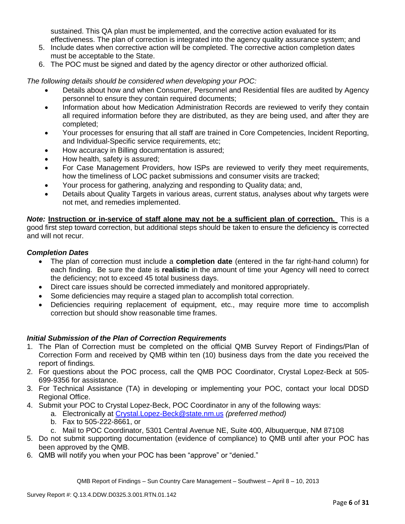sustained. This QA plan must be implemented, and the corrective action evaluated for its effectiveness. The plan of correction is integrated into the agency quality assurance system; and

- 5. Include dates when corrective action will be completed. The corrective action completion dates must be acceptable to the State.
- 6. The POC must be signed and dated by the agency director or other authorized official.

*The following details should be considered when developing your POC:*

- Details about how and when Consumer, Personnel and Residential files are audited by Agency personnel to ensure they contain required documents;
- Information about how Medication Administration Records are reviewed to verify they contain all required information before they are distributed, as they are being used, and after they are completed;
- Your processes for ensuring that all staff are trained in Core Competencies, Incident Reporting, and Individual-Specific service requirements, etc;
- How accuracy in Billing documentation is assured;
- How health, safety is assured;
- For Case Management Providers, how ISPs are reviewed to verify they meet requirements, how the timeliness of LOC packet submissions and consumer visits are tracked;
- Your process for gathering, analyzing and responding to Quality data; and,
- Details about Quality Targets in various areas, current status, analyses about why targets were not met, and remedies implemented.

*Note:* **Instruction or in-service of staff alone may not be a sufficient plan of correction.** This is a good first step toward correction, but additional steps should be taken to ensure the deficiency is corrected and will not recur.

### *Completion Dates*

- The plan of correction must include a **completion date** (entered in the far right-hand column) for each finding. Be sure the date is **realistic** in the amount of time your Agency will need to correct the deficiency; not to exceed 45 total business days.
- Direct care issues should be corrected immediately and monitored appropriately.
- Some deficiencies may require a staged plan to accomplish total correction.
- Deficiencies requiring replacement of equipment, etc., may require more time to accomplish correction but should show reasonable time frames.

## *Initial Submission of the Plan of Correction Requirements*

- 1. The Plan of Correction must be completed on the official QMB Survey Report of Findings/Plan of Correction Form and received by QMB within ten (10) business days from the date you received the report of findings.
- 2. For questions about the POC process, call the QMB POC Coordinator, Crystal Lopez-Beck at 505- 699-9356 for assistance.
- 3. For Technical Assistance (TA) in developing or implementing your POC, contact your local DDSD Regional Office.
- 4. Submit your POC to Crystal Lopez-Beck, POC Coordinator in any of the following ways:
	- a. Electronically at Crystal.Lopez-Beck@state.nm.us *(preferred method)*
	- b. Fax to 505-222-8661, or
	- c. Mail to POC Coordinator, 5301 Central Avenue NE, Suite 400, Albuquerque, NM 87108
- 5. Do not submit supporting documentation (evidence of compliance) to QMB until after your POC has been approved by the QMB.
- 6. QMB will notify you when your POC has been "approve" or "denied."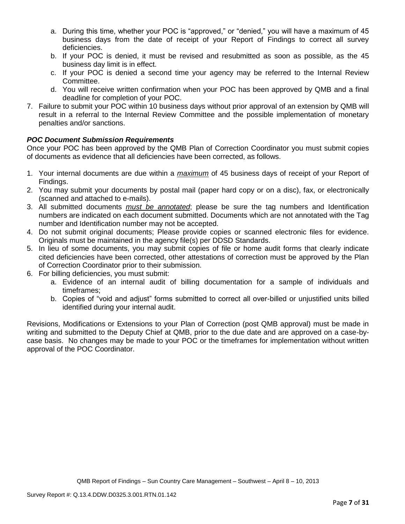- a. During this time, whether your POC is "approved," or "denied," you will have a maximum of 45 business days from the date of receipt of your Report of Findings to correct all survey deficiencies.
- b. If your POC is denied, it must be revised and resubmitted as soon as possible, as the 45 business day limit is in effect.
- c. If your POC is denied a second time your agency may be referred to the Internal Review Committee.
- d. You will receive written confirmation when your POC has been approved by QMB and a final deadline for completion of your POC.
- 7. Failure to submit your POC within 10 business days without prior approval of an extension by QMB will result in a referral to the Internal Review Committee and the possible implementation of monetary penalties and/or sanctions.

# *POC Document Submission Requirements*

Once your POC has been approved by the QMB Plan of Correction Coordinator you must submit copies of documents as evidence that all deficiencies have been corrected, as follows.

- 1. Your internal documents are due within a *maximum* of 45 business days of receipt of your Report of Findings.
- 2. You may submit your documents by postal mail (paper hard copy or on a disc), fax, or electronically (scanned and attached to e-mails).
- 3. All submitted documents *must be annotated*; please be sure the tag numbers and Identification numbers are indicated on each document submitted. Documents which are not annotated with the Tag number and Identification number may not be accepted.
- 4. Do not submit original documents; Please provide copies or scanned electronic files for evidence. Originals must be maintained in the agency file(s) per DDSD Standards.
- 5. In lieu of some documents, you may submit copies of file or home audit forms that clearly indicate cited deficiencies have been corrected, other attestations of correction must be approved by the Plan of Correction Coordinator prior to their submission.
- 6. For billing deficiencies, you must submit:
	- a. Evidence of an internal audit of billing documentation for a sample of individuals and timeframes;
	- b. Copies of "void and adjust" forms submitted to correct all over-billed or unjustified units billed identified during your internal audit.

Revisions, Modifications or Extensions to your Plan of Correction (post QMB approval) must be made in writing and submitted to the Deputy Chief at QMB, prior to the due date and are approved on a case-bycase basis. No changes may be made to your POC or the timeframes for implementation without written approval of the POC Coordinator.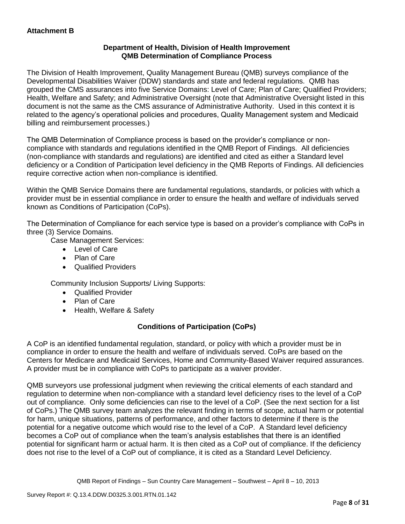## **Department of Health, Division of Health Improvement QMB Determination of Compliance Process**

The Division of Health Improvement, Quality Management Bureau (QMB) surveys compliance of the Developmental Disabilities Waiver (DDW) standards and state and federal regulations. QMB has grouped the CMS assurances into five Service Domains: Level of Care; Plan of Care; Qualified Providers; Health, Welfare and Safety; and Administrative Oversight (note that Administrative Oversight listed in this document is not the same as the CMS assurance of Administrative Authority. Used in this context it is related to the agency's operational policies and procedures, Quality Management system and Medicaid billing and reimbursement processes.)

The QMB Determination of Compliance process is based on the provider's compliance or noncompliance with standards and regulations identified in the QMB Report of Findings. All deficiencies (non-compliance with standards and regulations) are identified and cited as either a Standard level deficiency or a Condition of Participation level deficiency in the QMB Reports of Findings. All deficiencies require corrective action when non-compliance is identified.

Within the QMB Service Domains there are fundamental regulations, standards, or policies with which a provider must be in essential compliance in order to ensure the health and welfare of individuals served known as Conditions of Participation (CoPs).

The Determination of Compliance for each service type is based on a provider's compliance with CoPs in three (3) Service Domains.

Case Management Services:

- Level of Care
- Plan of Care
- Qualified Providers

Community Inclusion Supports/ Living Supports:

- Qualified Provider
- Plan of Care
- Health, Welfare & Safety

# **Conditions of Participation (CoPs)**

A CoP is an identified fundamental regulation, standard, or policy with which a provider must be in compliance in order to ensure the health and welfare of individuals served. CoPs are based on the Centers for Medicare and Medicaid Services, Home and Community-Based Waiver required assurances. A provider must be in compliance with CoPs to participate as a waiver provider.

QMB surveyors use professional judgment when reviewing the critical elements of each standard and regulation to determine when non-compliance with a standard level deficiency rises to the level of a CoP out of compliance. Only some deficiencies can rise to the level of a CoP. (See the next section for a list of CoPs.) The QMB survey team analyzes the relevant finding in terms of scope, actual harm or potential for harm, unique situations, patterns of performance, and other factors to determine if there is the potential for a negative outcome which would rise to the level of a CoP. A Standard level deficiency becomes a CoP out of compliance when the team's analysis establishes that there is an identified potential for significant harm or actual harm. It is then cited as a CoP out of compliance. If the deficiency does not rise to the level of a CoP out of compliance, it is cited as a Standard Level Deficiency.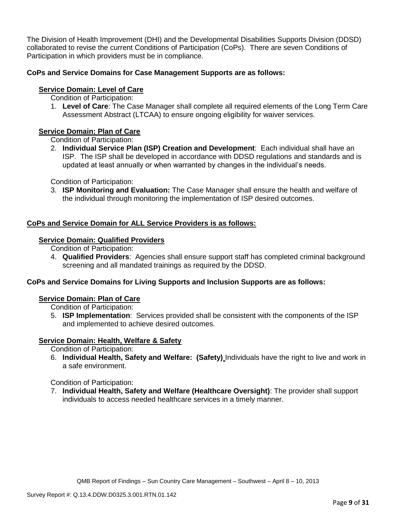The Division of Health Improvement (DHI) and the Developmental Disabilities Supports Division (DDSD) collaborated to revise the current Conditions of Participation (CoPs). There are seven Conditions of Participation in which providers must be in compliance.

## **CoPs and Service Domains for Case Management Supports are as follows:**

## **Service Domain: Level of Care**

Condition of Participation:

1. **Level of Care**: The Case Manager shall complete all required elements of the Long Term Care Assessment Abstract (LTCAA) to ensure ongoing eligibility for waiver services.

## **Service Domain: Plan of Care**

Condition of Participation:

2. **Individual Service Plan (ISP) Creation and Development**: Each individual shall have an ISP. The ISP shall be developed in accordance with DDSD regulations and standards and is updated at least annually or when warranted by changes in the individual's needs.

Condition of Participation:

3. **ISP Monitoring and Evaluation:** The Case Manager shall ensure the health and welfare of the individual through monitoring the implementation of ISP desired outcomes.

## **CoPs and Service Domain for ALL Service Providers is as follows:**

### **Service Domain: Qualified Providers**

- Condition of Participation:
- 4. **Qualified Providers**: Agencies shall ensure support staff has completed criminal background screening and all mandated trainings as required by the DDSD.

## **CoPs and Service Domains for Living Supports and Inclusion Supports are as follows:**

#### **Service Domain: Plan of Care**

Condition of Participation:

5. **ISP Implementation**: Services provided shall be consistent with the components of the ISP and implemented to achieve desired outcomes.

## **Service Domain: Health, Welfare & Safety**

Condition of Participation:

6. **Individual Health, Safety and Welfare: (Safety)** Individuals have the right to live and work in a safe environment.

Condition of Participation:

7. **Individual Health, Safety and Welfare (Healthcare Oversight)**: The provider shall support individuals to access needed healthcare services in a timely manner.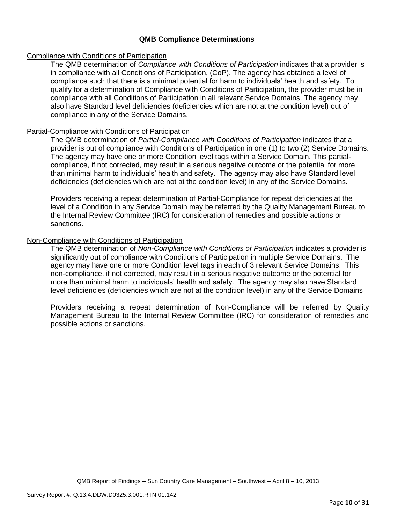### **QMB Compliance Determinations**

### Compliance with Conditions of Participation

The QMB determination of *Compliance with Conditions of Participation* indicates that a provider is in compliance with all Conditions of Participation, (CoP). The agency has obtained a level of compliance such that there is a minimal potential for harm to individuals' health and safety. To qualify for a determination of Compliance with Conditions of Participation, the provider must be in compliance with all Conditions of Participation in all relevant Service Domains. The agency may also have Standard level deficiencies (deficiencies which are not at the condition level) out of compliance in any of the Service Domains.

#### Partial-Compliance with Conditions of Participation

The QMB determination of *Partial-Compliance with Conditions of Participation* indicates that a provider is out of compliance with Conditions of Participation in one (1) to two (2) Service Domains. The agency may have one or more Condition level tags within a Service Domain. This partialcompliance, if not corrected, may result in a serious negative outcome or the potential for more than minimal harm to individuals' health and safety. The agency may also have Standard level deficiencies (deficiencies which are not at the condition level) in any of the Service Domains.

Providers receiving a repeat determination of Partial-Compliance for repeat deficiencies at the level of a Condition in any Service Domain may be referred by the Quality Management Bureau to the Internal Review Committee (IRC) for consideration of remedies and possible actions or sanctions.

### Non-Compliance with Conditions of Participation

The QMB determination of *Non-Compliance with Conditions of Participation* indicates a provider is significantly out of compliance with Conditions of Participation in multiple Service Domains. The agency may have one or more Condition level tags in each of 3 relevant Service Domains. This non-compliance, if not corrected, may result in a serious negative outcome or the potential for more than minimal harm to individuals' health and safety. The agency may also have Standard level deficiencies (deficiencies which are not at the condition level) in any of the Service Domains

Providers receiving a repeat determination of Non-Compliance will be referred by Quality Management Bureau to the Internal Review Committee (IRC) for consideration of remedies and possible actions or sanctions.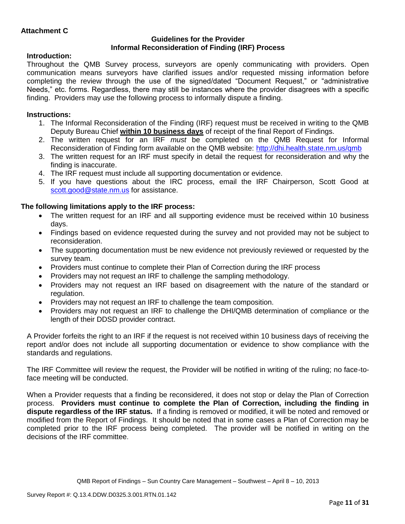### **Guidelines for the Provider Informal Reconsideration of Finding (IRF) Process**

## **Introduction:**

Throughout the QMB Survey process, surveyors are openly communicating with providers. Open communication means surveyors have clarified issues and/or requested missing information before completing the review through the use of the signed/dated "Document Request," or "administrative Needs," etc. forms. Regardless, there may still be instances where the provider disagrees with a specific finding. Providers may use the following process to informally dispute a finding.

# **Instructions:**

- 1. The Informal Reconsideration of the Finding (IRF) request must be received in writing to the QMB Deputy Bureau Chief **within 10 business days** of receipt of the final Report of Findings.
- 2. The written request for an IRF *must* be completed on the QMB Request for Informal Reconsideration of Finding form available on the QMB website:<http://dhi.health.state.nm.us/qmb>
- 3. The written request for an IRF must specify in detail the request for reconsideration and why the finding is inaccurate.
- 4. The IRF request must include all supporting documentation or evidence.
- 5. If you have questions about the IRC process, email the IRF Chairperson, Scott Good at [scott.good@state.nm.us](mailto:scott.good@state.nm.us) for assistance.

# **The following limitations apply to the IRF process:**

- The written request for an IRF and all supporting evidence must be received within 10 business days.
- Findings based on evidence requested during the survey and not provided may not be subject to reconsideration.
- The supporting documentation must be new evidence not previously reviewed or requested by the survey team.
- Providers must continue to complete their Plan of Correction during the IRF process
- Providers may not request an IRF to challenge the sampling methodology.
- Providers may not request an IRF based on disagreement with the nature of the standard or regulation.
- Providers may not request an IRF to challenge the team composition.
- Providers may not request an IRF to challenge the DHI/QMB determination of compliance or the length of their DDSD provider contract.

A Provider forfeits the right to an IRF if the request is not received within 10 business days of receiving the report and/or does not include all supporting documentation or evidence to show compliance with the standards and regulations.

The IRF Committee will review the request, the Provider will be notified in writing of the ruling; no face-toface meeting will be conducted.

When a Provider requests that a finding be reconsidered, it does not stop or delay the Plan of Correction process. **Providers must continue to complete the Plan of Correction, including the finding in dispute regardless of the IRF status.** If a finding is removed or modified, it will be noted and removed or modified from the Report of Findings. It should be noted that in some cases a Plan of Correction may be completed prior to the IRF process being completed. The provider will be notified in writing on the decisions of the IRF committee.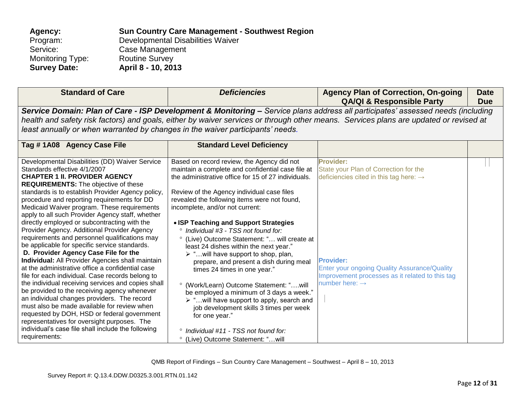| Agency:             | <b>Sun Country Care Management - Southwest Region</b> |
|---------------------|-------------------------------------------------------|
| Program:            | Developmental Disabilities Waiver                     |
| Service:            | Case Management                                       |
| Monitoring Type:    | <b>Routine Survey</b>                                 |
| <b>Survey Date:</b> | April 8 - 10, 2013                                    |
|                     |                                                       |

| <b>Standard of Care</b>                                                                                     | <b>Deficiencies</b>                                      | <b>Agency Plan of Correction, On-going</b><br><b>QA/QI &amp; Responsible Party</b>                                                    | <b>Date</b><br><b>Due</b> |
|-------------------------------------------------------------------------------------------------------------|----------------------------------------------------------|---------------------------------------------------------------------------------------------------------------------------------------|---------------------------|
|                                                                                                             |                                                          | Service Domain: Plan of Care - ISP Development & Monitoring - Service plans address all participates' assessed needs (including       |                           |
|                                                                                                             |                                                          | health and safety risk factors) and goals, either by waiver services or through other means. Services plans are updated or revised at |                           |
| least annually or when warranted by changes in the waiver participants' needs.                              |                                                          |                                                                                                                                       |                           |
| Tag #1A08 Agency Case File                                                                                  | <b>Standard Level Deficiency</b>                         |                                                                                                                                       |                           |
|                                                                                                             |                                                          |                                                                                                                                       |                           |
| Developmental Disabilities (DD) Waiver Service                                                              | Based on record review, the Agency did not               | <b>Provider:</b>                                                                                                                      |                           |
| Standards effective 4/1/2007                                                                                | maintain a complete and confidential case file at        | State your Plan of Correction for the                                                                                                 |                           |
| <b>CHAPTER 1 II. PROVIDER AGENCY</b>                                                                        | the administrative office for 15 of 27 individuals.      | deficiencies cited in this tag here: $\rightarrow$                                                                                    |                           |
| <b>REQUIREMENTS:</b> The objective of these<br>standards is to establish Provider Agency policy,            | Review of the Agency individual case files               |                                                                                                                                       |                           |
| procedure and reporting requirements for DD                                                                 | revealed the following items were not found,             |                                                                                                                                       |                           |
| Medicaid Waiver program. These requirements                                                                 | incomplete, and/or not current:                          |                                                                                                                                       |                           |
| apply to all such Provider Agency staff, whether                                                            |                                                          |                                                                                                                                       |                           |
| directly employed or subcontracting with the                                                                | • ISP Teaching and Support Strategies                    |                                                                                                                                       |                           |
| Provider Agency. Additional Provider Agency                                                                 | Individual #3 - TSS not found for:                       |                                                                                                                                       |                           |
| requirements and personnel qualifications may                                                               | (Live) Outcome Statement: " will create at               |                                                                                                                                       |                           |
| be applicable for specific service standards.                                                               | least 24 dishes within the next year."                   |                                                                                                                                       |                           |
| D. Provider Agency Case File for the                                                                        | $\triangleright$ " will have support to shop, plan,      |                                                                                                                                       |                           |
| <b>Individual:</b> All Provider Agencies shall maintain<br>at the administrative office a confidential case | prepare, and present a dish during meal                  | <b>Provider:</b>                                                                                                                      |                           |
| file for each individual. Case records belong to                                                            | times 24 times in one year."                             | <b>Enter your ongoing Quality Assurance/Quality</b><br>Improvement processes as it related to this tag                                |                           |
| the individual receiving services and copies shall                                                          | ° (Work/Learn) Outcome Statement: "will                  | number here: $\rightarrow$                                                                                                            |                           |
| be provided to the receiving agency whenever                                                                | be employed a minimum of 3 days a week."                 |                                                                                                                                       |                           |
| an individual changes providers. The record                                                                 | $\triangleright$ "will have support to apply, search and |                                                                                                                                       |                           |
| must also be made available for review when                                                                 | job development skills 3 times per week                  |                                                                                                                                       |                           |
| requested by DOH, HSD or federal government                                                                 | for one year."                                           |                                                                                                                                       |                           |
| representatives for oversight purposes. The                                                                 |                                                          |                                                                                                                                       |                           |
| individual's case file shall include the following                                                          | ° Individual #11 - TSS not found for:                    |                                                                                                                                       |                           |
| requirements:                                                                                               | (Live) Outcome Statement: "will                          |                                                                                                                                       |                           |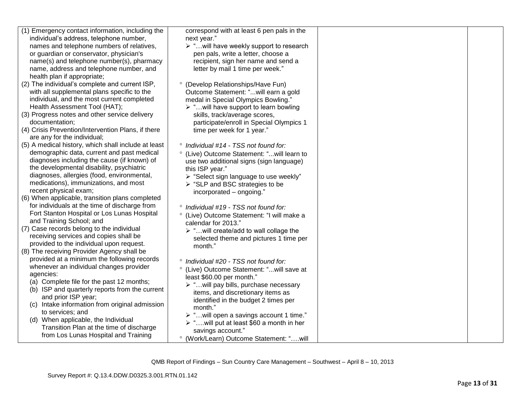| (1) Emergency contact information, including the                                 | correspond with at least 6 pen pals in the              |  |
|----------------------------------------------------------------------------------|---------------------------------------------------------|--|
| individual's address, telephone number,                                          | next year."                                             |  |
| names and telephone numbers of relatives,                                        | > "will have weekly support to research                 |  |
| or guardian or conservator, physician's                                          | pen pals, write a letter, choose a                      |  |
| name(s) and telephone number(s), pharmacy                                        | recipient, sign her name and send a                     |  |
| name, address and telephone number, and<br>health plan if appropriate;           | letter by mail 1 time per week."                        |  |
| (2) The individual's complete and current ISP,                                   | ° (Develop Relationships/Have Fun)                      |  |
| with all supplemental plans specific to the                                      | Outcome Statement: "will earn a gold                    |  |
| individual, and the most current completed                                       | medal in Special Olympics Bowling."                     |  |
| Health Assessment Tool (HAT);                                                    | $\triangleright$ "will have support to learn bowling    |  |
| (3) Progress notes and other service delivery                                    |                                                         |  |
| documentation;                                                                   | skills, track/average scores,                           |  |
| (4) Crisis Prevention/Intervention Plans, if there                               | participate/enroll in Special Olympics 1                |  |
|                                                                                  | time per week for 1 year."                              |  |
| are any for the individual;                                                      |                                                         |  |
| (5) A medical history, which shall include at least                              | ° Individual #14 - TSS not found for:                   |  |
| demographic data, current and past medical                                       | ° (Live) Outcome Statement: "will learn to              |  |
| diagnoses including the cause (if known) of                                      | use two additional signs (sign language)                |  |
| the developmental disability, psychiatric                                        | this ISP year."                                         |  |
| diagnoses, allergies (food, environmental,                                       | > "Select sign language to use weekly"                  |  |
| medications), immunizations, and most                                            | $\triangleright$ "SLP and BSC strategies to be          |  |
| recent physical exam;                                                            | incorporated - ongoing."                                |  |
| (6) When applicable, transition plans completed                                  |                                                         |  |
| for individuals at the time of discharge from                                    | ° Individual #19 - TSS not found for:                   |  |
| Fort Stanton Hospital or Los Lunas Hospital                                      | ° (Live) Outcome Statement: "I will make a              |  |
| and Training School; and                                                         | calendar for 2013."                                     |  |
| (7) Case records belong to the individual                                        | > "will create/add to wall collage the                  |  |
| receiving services and copies shall be                                           | selected theme and pictures 1 time per                  |  |
| provided to the individual upon request.                                         | month."                                                 |  |
| (8) The receiving Provider Agency shall be                                       |                                                         |  |
| provided at a minimum the following records                                      | ° Individual #20 - TSS not found for:                   |  |
| whenever an individual changes provider                                          | ° (Live) Outcome Statement: "will save at               |  |
| agencies:                                                                        | least \$60.00 per month."                               |  |
| (a) Complete file for the past 12 months;                                        | > "will pay bills, purchase necessary                   |  |
| (b) ISP and quarterly reports from the current                                   | items, and discretionary items as                       |  |
| and prior ISP year;                                                              | identified in the budget 2 times per                    |  |
| (c) Intake information from original admission                                   | month."                                                 |  |
| to services; and                                                                 | > " will open a savings account 1 time."                |  |
| (d) When applicable, the Individual                                              | $\triangleright$ "will put at least \$60 a month in her |  |
| Transition Plan at the time of discharge<br>from Los Lunas Hospital and Training | savings account."                                       |  |
|                                                                                  | ° (Work/Learn) Outcome Statement: "will                 |  |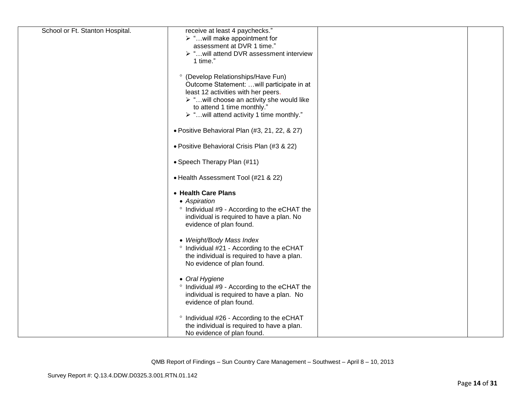| receive at least 4 paychecks."                          |                                                                                                                                                                                                                                                                                                                                                                                                                                                                                                                                                                                                                                                                                                                                                                                        |  |
|---------------------------------------------------------|----------------------------------------------------------------------------------------------------------------------------------------------------------------------------------------------------------------------------------------------------------------------------------------------------------------------------------------------------------------------------------------------------------------------------------------------------------------------------------------------------------------------------------------------------------------------------------------------------------------------------------------------------------------------------------------------------------------------------------------------------------------------------------------|--|
| $\triangleright$ " will make appointment for            |                                                                                                                                                                                                                                                                                                                                                                                                                                                                                                                                                                                                                                                                                                                                                                                        |  |
| assessment at DVR 1 time."                              |                                                                                                                                                                                                                                                                                                                                                                                                                                                                                                                                                                                                                                                                                                                                                                                        |  |
| ▶ "will attend DVR assessment interview                 |                                                                                                                                                                                                                                                                                                                                                                                                                                                                                                                                                                                                                                                                                                                                                                                        |  |
| 1 time."                                                |                                                                                                                                                                                                                                                                                                                                                                                                                                                                                                                                                                                                                                                                                                                                                                                        |  |
|                                                         |                                                                                                                                                                                                                                                                                                                                                                                                                                                                                                                                                                                                                                                                                                                                                                                        |  |
|                                                         |                                                                                                                                                                                                                                                                                                                                                                                                                                                                                                                                                                                                                                                                                                                                                                                        |  |
|                                                         |                                                                                                                                                                                                                                                                                                                                                                                                                                                                                                                                                                                                                                                                                                                                                                                        |  |
| least 12 activities with her peers.                     |                                                                                                                                                                                                                                                                                                                                                                                                                                                                                                                                                                                                                                                                                                                                                                                        |  |
| > "will choose an activity she would like               |                                                                                                                                                                                                                                                                                                                                                                                                                                                                                                                                                                                                                                                                                                                                                                                        |  |
|                                                         |                                                                                                                                                                                                                                                                                                                                                                                                                                                                                                                                                                                                                                                                                                                                                                                        |  |
| $\triangleright$ "will attend activity 1 time monthly." |                                                                                                                                                                                                                                                                                                                                                                                                                                                                                                                                                                                                                                                                                                                                                                                        |  |
|                                                         |                                                                                                                                                                                                                                                                                                                                                                                                                                                                                                                                                                                                                                                                                                                                                                                        |  |
| • Positive Behavioral Plan (#3, 21, 22, & 27)           |                                                                                                                                                                                                                                                                                                                                                                                                                                                                                                                                                                                                                                                                                                                                                                                        |  |
|                                                         |                                                                                                                                                                                                                                                                                                                                                                                                                                                                                                                                                                                                                                                                                                                                                                                        |  |
| • Positive Behavioral Crisis Plan (#3 & 22)             |                                                                                                                                                                                                                                                                                                                                                                                                                                                                                                                                                                                                                                                                                                                                                                                        |  |
|                                                         |                                                                                                                                                                                                                                                                                                                                                                                                                                                                                                                                                                                                                                                                                                                                                                                        |  |
|                                                         |                                                                                                                                                                                                                                                                                                                                                                                                                                                                                                                                                                                                                                                                                                                                                                                        |  |
|                                                         |                                                                                                                                                                                                                                                                                                                                                                                                                                                                                                                                                                                                                                                                                                                                                                                        |  |
|                                                         |                                                                                                                                                                                                                                                                                                                                                                                                                                                                                                                                                                                                                                                                                                                                                                                        |  |
|                                                         |                                                                                                                                                                                                                                                                                                                                                                                                                                                                                                                                                                                                                                                                                                                                                                                        |  |
|                                                         |                                                                                                                                                                                                                                                                                                                                                                                                                                                                                                                                                                                                                                                                                                                                                                                        |  |
|                                                         |                                                                                                                                                                                                                                                                                                                                                                                                                                                                                                                                                                                                                                                                                                                                                                                        |  |
|                                                         |                                                                                                                                                                                                                                                                                                                                                                                                                                                                                                                                                                                                                                                                                                                                                                                        |  |
|                                                         |                                                                                                                                                                                                                                                                                                                                                                                                                                                                                                                                                                                                                                                                                                                                                                                        |  |
|                                                         |                                                                                                                                                                                                                                                                                                                                                                                                                                                                                                                                                                                                                                                                                                                                                                                        |  |
|                                                         |                                                                                                                                                                                                                                                                                                                                                                                                                                                                                                                                                                                                                                                                                                                                                                                        |  |
|                                                         |                                                                                                                                                                                                                                                                                                                                                                                                                                                                                                                                                                                                                                                                                                                                                                                        |  |
|                                                         |                                                                                                                                                                                                                                                                                                                                                                                                                                                                                                                                                                                                                                                                                                                                                                                        |  |
|                                                         |                                                                                                                                                                                                                                                                                                                                                                                                                                                                                                                                                                                                                                                                                                                                                                                        |  |
|                                                         |                                                                                                                                                                                                                                                                                                                                                                                                                                                                                                                                                                                                                                                                                                                                                                                        |  |
|                                                         |                                                                                                                                                                                                                                                                                                                                                                                                                                                                                                                                                                                                                                                                                                                                                                                        |  |
|                                                         |                                                                                                                                                                                                                                                                                                                                                                                                                                                                                                                                                                                                                                                                                                                                                                                        |  |
|                                                         |                                                                                                                                                                                                                                                                                                                                                                                                                                                                                                                                                                                                                                                                                                                                                                                        |  |
|                                                         |                                                                                                                                                                                                                                                                                                                                                                                                                                                                                                                                                                                                                                                                                                                                                                                        |  |
|                                                         |                                                                                                                                                                                                                                                                                                                                                                                                                                                                                                                                                                                                                                                                                                                                                                                        |  |
|                                                         |                                                                                                                                                                                                                                                                                                                                                                                                                                                                                                                                                                                                                                                                                                                                                                                        |  |
|                                                         |                                                                                                                                                                                                                                                                                                                                                                                                                                                                                                                                                                                                                                                                                                                                                                                        |  |
|                                                         |                                                                                                                                                                                                                                                                                                                                                                                                                                                                                                                                                                                                                                                                                                                                                                                        |  |
|                                                         | ° (Develop Relationships/Have Fun)<br>Outcome Statement:  will participate in at<br>to attend 1 time monthly."<br>• Speech Therapy Plan (#11)<br>• Health Assessment Tool (#21 & 22)<br>• Health Care Plans<br>• Aspiration<br>° Individual #9 - According to the eCHAT the<br>individual is required to have a plan. No<br>evidence of plan found.<br>• Weight/Body Mass Index<br>° Individual #21 - According to the eCHAT<br>the individual is required to have a plan.<br>No evidence of plan found.<br>• Oral Hygiene<br><sup>o</sup> Individual #9 - According to the eCHAT the<br>individual is required to have a plan. No<br>evidence of plan found.<br>° Individual #26 - According to the eCHAT<br>the individual is required to have a plan.<br>No evidence of plan found. |  |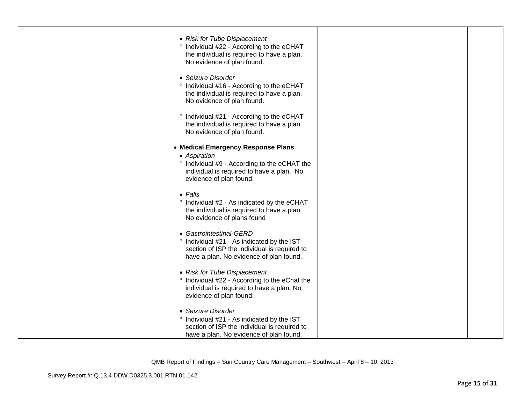| • Risk for Tube Displacement<br>° Individual #22 - According to the eCHAT<br>the individual is required to have a plan.<br>No evidence of plan found. |  |
|-------------------------------------------------------------------------------------------------------------------------------------------------------|--|
| • Seizure Disorder<br>° Individual #16 - According to the eCHAT<br>the individual is required to have a plan.<br>No evidence of plan found.           |  |
| ° Individual #21 - According to the eCHAT<br>the individual is required to have a plan.<br>No evidence of plan found.                                 |  |
| • Medical Emergency Response Plans                                                                                                                    |  |
| • Aspiration                                                                                                                                          |  |
| ° Individual #9 - According to the eCHAT the<br>individual is required to have a plan. No<br>evidence of plan found.                                  |  |
| $\bullet$ Falls                                                                                                                                       |  |
| ° Individual #2 - As indicated by the eCHAT<br>the individual is required to have a plan.<br>No evidence of plans found                               |  |
|                                                                                                                                                       |  |
| • Gastrointestinal-GERD                                                                                                                               |  |
| ° Individual #21 - As indicated by the IST                                                                                                            |  |
| section of ISP the individual is required to<br>have a plan. No evidence of plan found.                                                               |  |
| • Risk for Tube Displacement                                                                                                                          |  |
| ° Individual #22 - According to the eChat the                                                                                                         |  |
| individual is required to have a plan. No<br>evidence of plan found.                                                                                  |  |
| • Seizure Disorder                                                                                                                                    |  |
| ° Individual #21 - As indicated by the IST                                                                                                            |  |
| section of ISP the individual is required to                                                                                                          |  |
| have a plan. No evidence of plan found.                                                                                                               |  |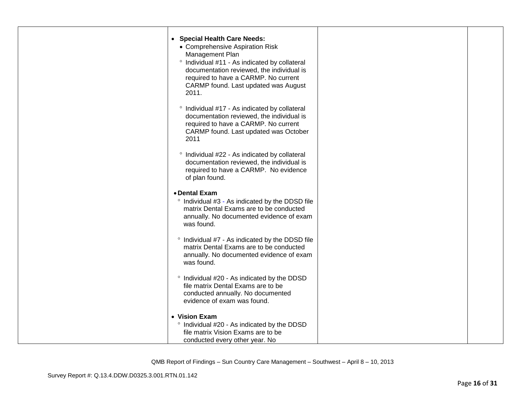| • Special Health Care Needs:<br>• Comprehensive Aspiration Risk                            |  |
|--------------------------------------------------------------------------------------------|--|
| Management Plan                                                                            |  |
| ° Individual #11 - As indicated by collateral<br>documentation reviewed, the individual is |  |
| required to have a CARMP. No current                                                       |  |
| CARMP found. Last updated was August                                                       |  |
| 2011.                                                                                      |  |
| ° Individual #17 - As indicated by collateral                                              |  |
| documentation reviewed, the individual is<br>required to have a CARMP. No current          |  |
| CARMP found. Last updated was October                                                      |  |
| 2011                                                                                       |  |
| ° Individual #22 - As indicated by collateral                                              |  |
| documentation reviewed, the individual is<br>required to have a CARMP. No evidence         |  |
| of plan found.                                                                             |  |
| • Dental Exam                                                                              |  |
| ° Individual #3 - As indicated by the DDSD file                                            |  |
| matrix Dental Exams are to be conducted                                                    |  |
| annually. No documented evidence of exam<br>was found.                                     |  |
|                                                                                            |  |
| ° Individual #7 - As indicated by the DDSD file<br>matrix Dental Exams are to be conducted |  |
| annually. No documented evidence of exam                                                   |  |
| was found.                                                                                 |  |
| ° Individual #20 - As indicated by the DDSD                                                |  |
| file matrix Dental Exams are to be                                                         |  |
| conducted annually. No documented<br>evidence of exam was found.                           |  |
|                                                                                            |  |
| • Vision Exam<br>° Individual #20 - As indicated by the DDSD                               |  |
| file matrix Vision Exams are to be                                                         |  |
| conducted every other year. No                                                             |  |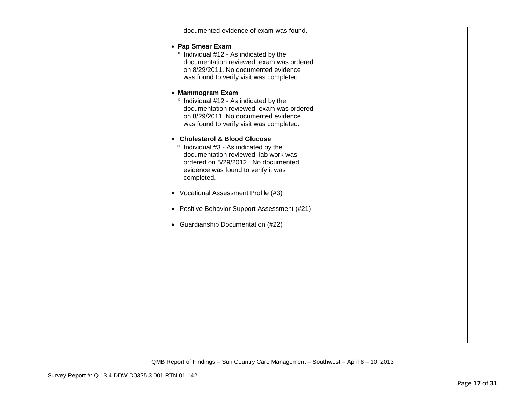| documented evidence of exam was found.                                                                                                                                                                     |  |
|------------------------------------------------------------------------------------------------------------------------------------------------------------------------------------------------------------|--|
| • Pap Smear Exam<br>° Individual #12 - As indicated by the<br>documentation reviewed, exam was ordered<br>on 8/29/2011. No documented evidence<br>was found to verify visit was completed.                 |  |
| • Mammogram Exam<br>° Individual #12 - As indicated by the<br>documentation reviewed, exam was ordered<br>on 8/29/2011. No documented evidence<br>was found to verify visit was completed.                 |  |
| • Cholesterol & Blood Glucose<br>° Individual #3 - As indicated by the<br>documentation reviewed, lab work was<br>ordered on 5/29/2012. No documented<br>evidence was found to verify it was<br>completed. |  |
| • Vocational Assessment Profile (#3)                                                                                                                                                                       |  |
| • Positive Behavior Support Assessment (#21)                                                                                                                                                               |  |
| • Guardianship Documentation (#22)                                                                                                                                                                         |  |
|                                                                                                                                                                                                            |  |
|                                                                                                                                                                                                            |  |
|                                                                                                                                                                                                            |  |
|                                                                                                                                                                                                            |  |
|                                                                                                                                                                                                            |  |
|                                                                                                                                                                                                            |  |
|                                                                                                                                                                                                            |  |
|                                                                                                                                                                                                            |  |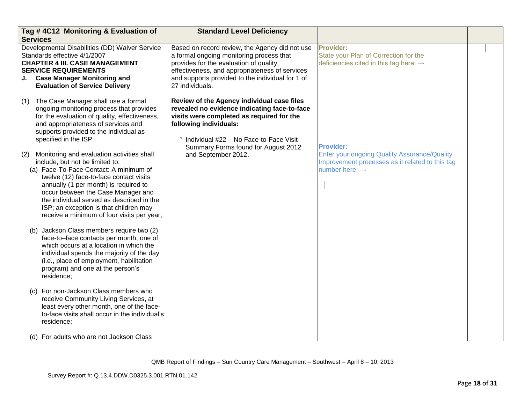| Tag #4C12 Monitoring & Evaluation of<br><b>Services</b>                                                                                                                                                                                                                                                                                                                                       | <b>Standard Level Deficiency</b>                                                                                                                                                                                                                               |                                                                                                                                      |  |
|-----------------------------------------------------------------------------------------------------------------------------------------------------------------------------------------------------------------------------------------------------------------------------------------------------------------------------------------------------------------------------------------------|----------------------------------------------------------------------------------------------------------------------------------------------------------------------------------------------------------------------------------------------------------------|--------------------------------------------------------------------------------------------------------------------------------------|--|
| Developmental Disabilities (DD) Waiver Service<br>Standards effective 4/1/2007<br><b>CHAPTER 4 III. CASE MANAGEMENT</b><br><b>SERVICE REQUIREMENTS</b><br><b>Case Manager Monitoring and</b><br>J.<br><b>Evaluation of Service Delivery</b>                                                                                                                                                   | Based on record review, the Agency did not use<br>a formal ongoing monitoring process that<br>provides for the evaluation of quality,<br>effectiveness, and appropriateness of services<br>and supports provided to the individual for 1 of<br>27 individuals. | Provider:<br>State your Plan of Correction for the<br>deficiencies cited in this tag here: $\rightarrow$                             |  |
| The Case Manager shall use a formal<br>(1)<br>ongoing monitoring process that provides<br>for the evaluation of quality, effectiveness,<br>and appropriateness of services and<br>supports provided to the individual as<br>specified in the ISP.                                                                                                                                             | Review of the Agency individual case files<br>revealed no evidence indicating face-to-face<br>visits were completed as required for the<br>following individuals:<br>° Individual #22 - No Face-to-Face Visit<br>Summary Forms found for August 2012           | <b>Provider:</b>                                                                                                                     |  |
| Monitoring and evaluation activities shall<br>(2)<br>include, but not be limited to:<br>(a) Face-To-Face Contact: A minimum of<br>twelve (12) face-to-face contact visits<br>annually (1 per month) is required to<br>occur between the Case Manager and<br>the individual served as described in the<br>ISP; an exception is that children may<br>receive a minimum of four visits per year; | and September 2012.                                                                                                                                                                                                                                            | <b>Enter your ongoing Quality Assurance/Quality</b><br>Improvement processes as it related to this tag<br>number here: $\rightarrow$ |  |
| (b) Jackson Class members require two (2)<br>face-to-face contacts per month, one of<br>which occurs at a location in which the<br>individual spends the majority of the day<br>(i.e., place of employment, habilitation<br>program) and one at the person's<br>residence;                                                                                                                    |                                                                                                                                                                                                                                                                |                                                                                                                                      |  |
| (c) For non-Jackson Class members who<br>receive Community Living Services, at<br>least every other month, one of the face-<br>to-face visits shall occur in the individual's<br>residence;                                                                                                                                                                                                   |                                                                                                                                                                                                                                                                |                                                                                                                                      |  |
| (d) For adults who are not Jackson Class                                                                                                                                                                                                                                                                                                                                                      |                                                                                                                                                                                                                                                                |                                                                                                                                      |  |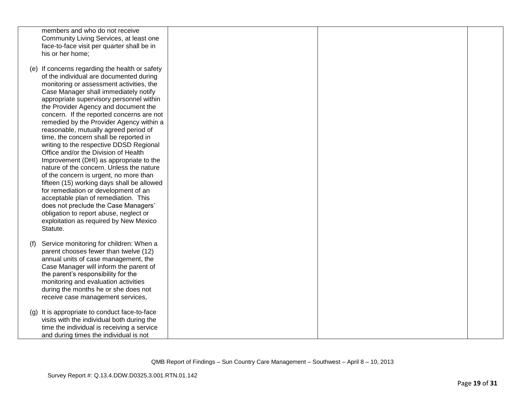|     | members and who do not receive<br>Community Living Services, at least one<br>face-to-face visit per quarter shall be in<br>his or her home;                                                                                                                                                                                                                                                                                                                                                                                                                                                                                                                                                                                                                                                                                                                                                                                              |  |  |
|-----|------------------------------------------------------------------------------------------------------------------------------------------------------------------------------------------------------------------------------------------------------------------------------------------------------------------------------------------------------------------------------------------------------------------------------------------------------------------------------------------------------------------------------------------------------------------------------------------------------------------------------------------------------------------------------------------------------------------------------------------------------------------------------------------------------------------------------------------------------------------------------------------------------------------------------------------|--|--|
|     | (e) If concerns regarding the health or safety<br>of the individual are documented during<br>monitoring or assessment activities, the<br>Case Manager shall immediately notify<br>appropriate supervisory personnel within<br>the Provider Agency and document the<br>concern. If the reported concerns are not<br>remedied by the Provider Agency within a<br>reasonable, mutually agreed period of<br>time, the concern shall be reported in<br>writing to the respective DDSD Regional<br>Office and/or the Division of Health<br>Improvement (DHI) as appropriate to the<br>nature of the concern. Unless the nature<br>of the concern is urgent, no more than<br>fifteen (15) working days shall be allowed<br>for remediation or development of an<br>acceptable plan of remediation. This<br>does not preclude the Case Managers'<br>obligation to report abuse, neglect or<br>exploitation as required by New Mexico<br>Statute. |  |  |
| (f) | Service monitoring for children: When a<br>parent chooses fewer than twelve (12)<br>annual units of case management, the<br>Case Manager will inform the parent of<br>the parent's responsibility for the<br>monitoring and evaluation activities<br>during the months he or she does not<br>receive case management services,                                                                                                                                                                                                                                                                                                                                                                                                                                                                                                                                                                                                           |  |  |
|     | (g) It is appropriate to conduct face-to-face<br>visits with the individual both during the<br>time the individual is receiving a service<br>and during times the individual is not                                                                                                                                                                                                                                                                                                                                                                                                                                                                                                                                                                                                                                                                                                                                                      |  |  |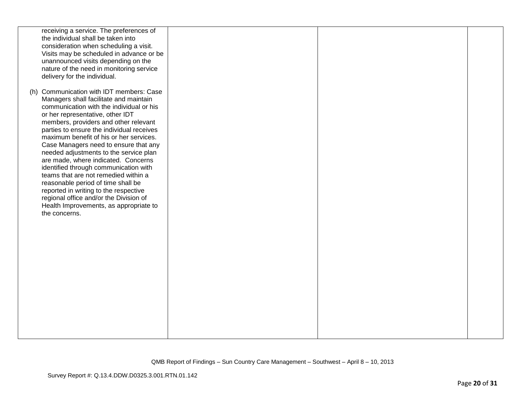|               | receiving a service. The preferences of<br>the individual shall be taken into<br>consideration when scheduling a visit.<br>Visits may be scheduled in advance or be<br>unannounced visits depending on the<br>nature of the need in monitoring service<br>delivery for the individual.                                                                                                                                                                                                                                                                                                                                                                                            |  |  |
|---------------|-----------------------------------------------------------------------------------------------------------------------------------------------------------------------------------------------------------------------------------------------------------------------------------------------------------------------------------------------------------------------------------------------------------------------------------------------------------------------------------------------------------------------------------------------------------------------------------------------------------------------------------------------------------------------------------|--|--|
| the concerns. | (h) Communication with IDT members: Case<br>Managers shall facilitate and maintain<br>communication with the individual or his<br>or her representative, other IDT<br>members, providers and other relevant<br>parties to ensure the individual receives<br>maximum benefit of his or her services.<br>Case Managers need to ensure that any<br>needed adjustments to the service plan<br>are made, where indicated. Concerns<br>identified through communication with<br>teams that are not remedied within a<br>reasonable period of time shall be<br>reported in writing to the respective<br>regional office and/or the Division of<br>Health Improvements, as appropriate to |  |  |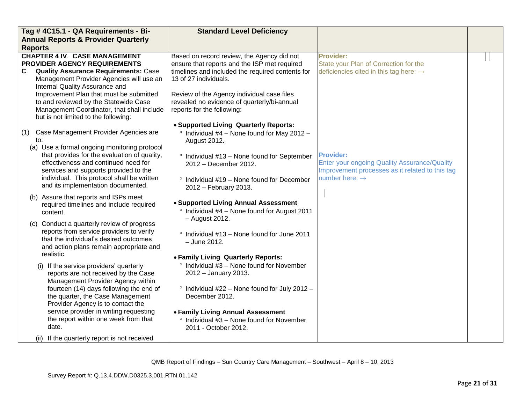| Tag #4C15.1 - QA Requirements - Bi-                                                                                                                                                                                                                                               | <b>Standard Level Deficiency</b>                                                                                                                                                                                                                                     |                                                                                                                                                          |  |
|-----------------------------------------------------------------------------------------------------------------------------------------------------------------------------------------------------------------------------------------------------------------------------------|----------------------------------------------------------------------------------------------------------------------------------------------------------------------------------------------------------------------------------------------------------------------|----------------------------------------------------------------------------------------------------------------------------------------------------------|--|
| <b>Annual Reports &amp; Provider Quarterly</b>                                                                                                                                                                                                                                    |                                                                                                                                                                                                                                                                      |                                                                                                                                                          |  |
| <b>Reports</b>                                                                                                                                                                                                                                                                    |                                                                                                                                                                                                                                                                      |                                                                                                                                                          |  |
| <b>CHAPTER 4 IV. CASE MANAGEMENT</b><br>PROVIDER AGENCY REQUIREMENTS<br>C. Quality Assurance Requirements: Case<br>Management Provider Agencies will use an<br>Internal Quality Assurance and<br>Improvement Plan that must be submitted<br>to and reviewed by the Statewide Case | Based on record review, the Agency did not<br>ensure that reports and the ISP met required<br>timelines and included the required contents for<br>13 of 27 individuals.<br>Review of the Agency individual case files<br>revealed no evidence of quarterly/bi-annual | <b>Provider:</b><br>State your Plan of Correction for the<br>deficiencies cited in this tag here: $\rightarrow$                                          |  |
| Management Coordinator, that shall include<br>but is not limited to the following:                                                                                                                                                                                                | reports for the following:                                                                                                                                                                                                                                           |                                                                                                                                                          |  |
| Case Management Provider Agencies are<br>(1)<br>to:<br>(a) Use a formal ongoing monitoring protocol                                                                                                                                                                               | • Supported Living Quarterly Reports:<br>$\degree$ Individual #4 - None found for May 2012 -<br>August 2012.                                                                                                                                                         |                                                                                                                                                          |  |
| that provides for the evaluation of quality,<br>effectiveness and continued need for<br>services and supports provided to the<br>individual. This protocol shall be written                                                                                                       | ° Individual #13 - None found for September<br>2012 - December 2012.                                                                                                                                                                                                 | <b>Provider:</b><br><b>Enter your ongoing Quality Assurance/Quality</b><br>Improvement processes as it related to this tag<br>number here: $\rightarrow$ |  |
| and its implementation documented.                                                                                                                                                                                                                                                | ° Individual #19 - None found for December<br>2012 - February 2013.                                                                                                                                                                                                  |                                                                                                                                                          |  |
| (b) Assure that reports and ISPs meet<br>required timelines and include required<br>content.                                                                                                                                                                                      | • Supported Living Annual Assessment<br><sup>o</sup> Individual #4 - None found for August 2011<br>- August 2012.                                                                                                                                                    |                                                                                                                                                          |  |
| (c) Conduct a quarterly review of progress<br>reports from service providers to verify<br>that the individual's desired outcomes<br>and action plans remain appropriate and<br>realistic.                                                                                         | ° Individual #13 - None found for June 2011<br>- June 2012.<br>• Family Living Quarterly Reports:                                                                                                                                                                    |                                                                                                                                                          |  |
| (i) If the service providers' quarterly<br>reports are not received by the Case<br>Management Provider Agency within                                                                                                                                                              | $\degree$ Individual #3 – None found for November<br>2012 - January 2013.                                                                                                                                                                                            |                                                                                                                                                          |  |
| fourteen (14) days following the end of<br>the quarter, the Case Management<br>Provider Agency is to contact the                                                                                                                                                                  | <sup>o</sup> Individual #22 - None found for July 2012 -<br>December 2012.                                                                                                                                                                                           |                                                                                                                                                          |  |
| service provider in writing requesting<br>the report within one week from that<br>date.                                                                                                                                                                                           | • Family Living Annual Assessment<br>$\degree$ Individual #3 – None found for November<br>2011 - October 2012.                                                                                                                                                       |                                                                                                                                                          |  |
| (ii) If the quarterly report is not received                                                                                                                                                                                                                                      |                                                                                                                                                                                                                                                                      |                                                                                                                                                          |  |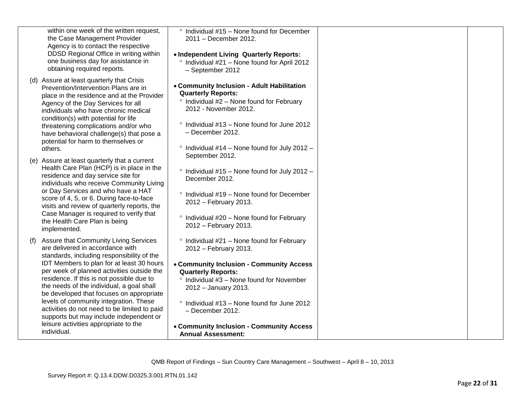| within one week of the written request,<br>the Case Management Provider<br>Agency is to contact the respective<br>DDSD Regional Office in writing within<br>one business day for assistance in<br>obtaining required reports.                                                                                                                                                                                                                                                                                                                                | $\degree$ Individual #15 - None found for December<br>2011 - December 2012.<br>• Independent Living Quarterly Reports:<br><sup>o</sup> Individual #21 - None found for April 2012<br>- September 2012                                                                                                                                            |  |
|--------------------------------------------------------------------------------------------------------------------------------------------------------------------------------------------------------------------------------------------------------------------------------------------------------------------------------------------------------------------------------------------------------------------------------------------------------------------------------------------------------------------------------------------------------------|--------------------------------------------------------------------------------------------------------------------------------------------------------------------------------------------------------------------------------------------------------------------------------------------------------------------------------------------------|--|
| (d) Assure at least quarterly that Crisis<br>Prevention/Intervention Plans are in<br>place in the residence and at the Provider<br>Agency of the Day Services for all<br>individuals who have chronic medical<br>condition(s) with potential for life<br>threatening complications and/or who<br>have behavioral challenge(s) that pose a<br>potential for harm to themselves or<br>others.                                                                                                                                                                  | • Community Inclusion - Adult Habilitation<br><b>Quarterly Reports:</b><br>$\degree$ Individual #2 - None found for February<br>2012 - November 2012.<br>Individual #13 - None found for June 2012<br>$\circ$<br>- December 2012.<br>$\degree$ Individual #14 – None found for July 2012 –                                                       |  |
| (e) Assure at least quarterly that a current<br>Health Care Plan (HCP) is in place in the<br>residence and day service site for<br>individuals who receive Community Living<br>or Day Services and who have a HAT<br>score of 4, 5, or 6. During face-to-face<br>visits and review of quarterly reports, the<br>Case Manager is required to verify that<br>the Health Care Plan is being<br>implemented.                                                                                                                                                     | September 2012.<br>$\degree$ Individual #15 - None found for July 2012 -<br>December 2012.<br>Individual #19 - None found for December<br>2012 - February 2013.<br>Individual #20 - None found for February<br>$\circ$<br>2012 - February 2013.                                                                                                  |  |
| Assure that Community Living Services<br>(f)<br>are delivered in accordance with<br>standards, including responsibility of the<br>IDT Members to plan for at least 30 hours<br>per week of planned activities outside the<br>residence. If this is not possible due to<br>the needs of the individual, a goal shall<br>be developed that focuses on appropriate<br>levels of community integration. These<br>activities do not need to be limited to paid<br>supports but may include independent or<br>leisure activities appropriate to the<br>individual. | $\degree$ Individual #21 – None found for February<br>2012 - February 2013.<br>• Community Inclusion - Community Access<br><b>Quarterly Reports:</b><br>$\degree$ Individual #3 - None found for November<br>2012 - January 2013.<br>° Individual #13 - None found for June 2012<br>- December 2012.<br>• Community Inclusion - Community Access |  |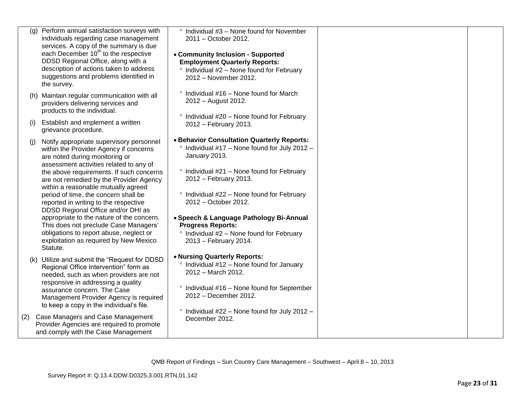| (q) | Perform annual satisfaction surveys with<br>individuals regarding case management<br>services. A copy of the summary is due<br>each December 10 <sup>th</sup> to the respective<br>DDSD Regional Office, along with a<br>description of actions taken to address<br>suggestions and problems identified in<br>the survey.                                                                                                                                                                                                                                                                                   | $\degree$ Individual #3 – None found for November<br>2011 - October 2012.<br>• Community Inclusion - Supported<br><b>Employment Quarterly Reports:</b><br>$\degree$ Individual #2 – None found for February<br>2012 - November 2012.                                                                                                                                                                                              |  |
|-----|-------------------------------------------------------------------------------------------------------------------------------------------------------------------------------------------------------------------------------------------------------------------------------------------------------------------------------------------------------------------------------------------------------------------------------------------------------------------------------------------------------------------------------------------------------------------------------------------------------------|-----------------------------------------------------------------------------------------------------------------------------------------------------------------------------------------------------------------------------------------------------------------------------------------------------------------------------------------------------------------------------------------------------------------------------------|--|
|     | (h) Maintain regular communication with all<br>providers delivering services and<br>products to the individual.                                                                                                                                                                                                                                                                                                                                                                                                                                                                                             | Individual #16 - None found for March<br>$\circ$<br>2012 - August 2012.                                                                                                                                                                                                                                                                                                                                                           |  |
| (i) | Establish and implement a written<br>grievance procedure.                                                                                                                                                                                                                                                                                                                                                                                                                                                                                                                                                   | ° Individual #20 - None found for February<br>2012 - February 2013.                                                                                                                                                                                                                                                                                                                                                               |  |
| (i) | Notify appropriate supervisory personnel<br>within the Provider Agency if concerns<br>are noted during monitoring or<br>assessment activities related to any of<br>the above requirements. If such concerns<br>are not remedied by the Provider Agency<br>within a reasonable mutually agreed<br>period of time, the concern shall be<br>reported in writing to the respective<br>DDSD Regional Office and/or DHI as<br>appropriate to the nature of the concern.<br>This does not preclude Case Managers'<br>obligations to report abuse, neglect or<br>exploitation as required by New Mexico<br>Statute. | . Behavior Consultation Quarterly Reports:<br><sup>o</sup> Individual #17 - None found for July 2012 -<br>January 2013.<br>$\degree$ Individual #21 – None found for February<br>2012 - February 2013.<br>° Individual #22 - None found for February<br>2012 - October 2012.<br>• Speech & Language Pathology Bi-Annual<br><b>Progress Reports:</b><br>$\degree$ Individual #2 – None found for February<br>2013 - February 2014. |  |
|     | (k) Utilize and submit the "Request for DDSD<br>Regional Office Intervention" form as<br>needed, such as when providers are not<br>responsive in addressing a quality<br>assurance concern. The Case<br>Management Provider Agency is required<br>to keep a copy in the individual's file.                                                                                                                                                                                                                                                                                                                  | • Nursing Quarterly Reports:<br>$\degree$ Individual #12 – None found for January<br>2012 - March 2012.<br>Individual #16 - None found for September<br>$\circ$<br>2012 - December 2012.<br>$\degree$ Individual #22 - None found for July 2012 -                                                                                                                                                                                 |  |
| (2) | Case Managers and Case Management<br>Provider Agencies are required to promote<br>and comply with the Case Management                                                                                                                                                                                                                                                                                                                                                                                                                                                                                       | December 2012.                                                                                                                                                                                                                                                                                                                                                                                                                    |  |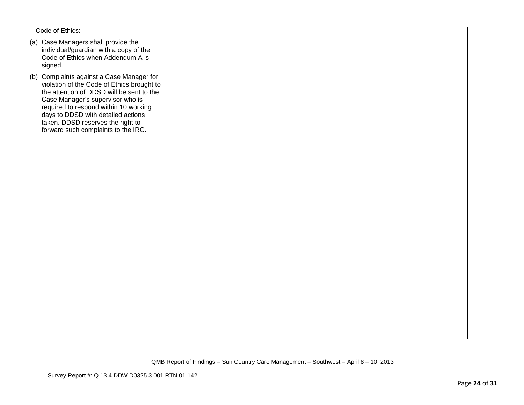| Code of Ethics:                                                                                                                                                                                                                                                                                                                     |  |  |
|-------------------------------------------------------------------------------------------------------------------------------------------------------------------------------------------------------------------------------------------------------------------------------------------------------------------------------------|--|--|
| (a) Case Managers shall provide the<br>individual/guardian with a copy of the<br>Code of Ethics when Addendum A is<br>signed.                                                                                                                                                                                                       |  |  |
| (b) Complaints against a Case Manager for<br>violation of the Code of Ethics brought to<br>the attention of DDSD will be sent to the<br>Case Manager's supervisor who is<br>required to respond within 10 working<br>days to DDSD with detailed actions<br>taken. DDSD reserves the right to<br>forward such complaints to the IRC. |  |  |
|                                                                                                                                                                                                                                                                                                                                     |  |  |
|                                                                                                                                                                                                                                                                                                                                     |  |  |
|                                                                                                                                                                                                                                                                                                                                     |  |  |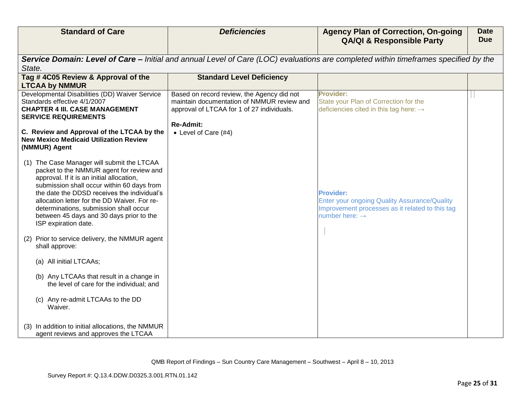|        | <b>Standard of Care</b>                                                                                                                                                                                                                                                                                                                                                                        | <b>Deficiencies</b>                                                                                                                                        | <b>Agency Plan of Correction, On-going</b><br><b>QA/QI &amp; Responsible Party</b>                                                                       | <b>Date</b><br><b>Due</b> |
|--------|------------------------------------------------------------------------------------------------------------------------------------------------------------------------------------------------------------------------------------------------------------------------------------------------------------------------------------------------------------------------------------------------|------------------------------------------------------------------------------------------------------------------------------------------------------------|----------------------------------------------------------------------------------------------------------------------------------------------------------|---------------------------|
| State. |                                                                                                                                                                                                                                                                                                                                                                                                |                                                                                                                                                            | Service Domain: Level of Care – Initial and annual Level of Care (LOC) evaluations are completed within timeframes specified by the                      |                           |
|        | Tag #4C05 Review & Approval of the<br><b>LTCAA by NMMUR</b>                                                                                                                                                                                                                                                                                                                                    | <b>Standard Level Deficiency</b>                                                                                                                           |                                                                                                                                                          |                           |
|        | Developmental Disabilities (DD) Waiver Service<br>Standards effective 4/1/2007<br><b>CHAPTER 4 III. CASE MANAGEMENT</b><br><b>SERVICE REQUIREMENTS</b>                                                                                                                                                                                                                                         | Based on record review, the Agency did not<br>maintain documentation of NMMUR review and<br>approval of LTCAA for 1 of 27 individuals.<br><b>Re-Admit:</b> | <b>Provider:</b><br>State your Plan of Correction for the<br>deficiencies cited in this tag here: $\rightarrow$                                          |                           |
|        | C. Review and Approval of the LTCAA by the<br><b>New Mexico Medicaid Utilization Review</b><br>(NMMUR) Agent                                                                                                                                                                                                                                                                                   | • Level of Care (#4)                                                                                                                                       |                                                                                                                                                          |                           |
|        | (1) The Case Manager will submit the LTCAA<br>packet to the NMMUR agent for review and<br>approval. If it is an initial allocation,<br>submission shall occur within 60 days from<br>the date the DDSD receives the individual's<br>allocation letter for the DD Waiver. For re-<br>determinations, submission shall occur<br>between 45 days and 30 days prior to the<br>ISP expiration date. |                                                                                                                                                            | <b>Provider:</b><br><b>Enter your ongoing Quality Assurance/Quality</b><br>Improvement processes as it related to this tag<br>number here: $\rightarrow$ |                           |
|        | (2) Prior to service delivery, the NMMUR agent<br>shall approve:                                                                                                                                                                                                                                                                                                                               |                                                                                                                                                            |                                                                                                                                                          |                           |
|        | (a) All initial LTCAAs;                                                                                                                                                                                                                                                                                                                                                                        |                                                                                                                                                            |                                                                                                                                                          |                           |
|        | (b) Any LTCAAs that result in a change in<br>the level of care for the individual; and                                                                                                                                                                                                                                                                                                         |                                                                                                                                                            |                                                                                                                                                          |                           |
|        | (c) Any re-admit LTCAAs to the DD<br>Waiver.                                                                                                                                                                                                                                                                                                                                                   |                                                                                                                                                            |                                                                                                                                                          |                           |
|        | (3) In addition to initial allocations, the NMMUR<br>agent reviews and approves the LTCAA                                                                                                                                                                                                                                                                                                      |                                                                                                                                                            |                                                                                                                                                          |                           |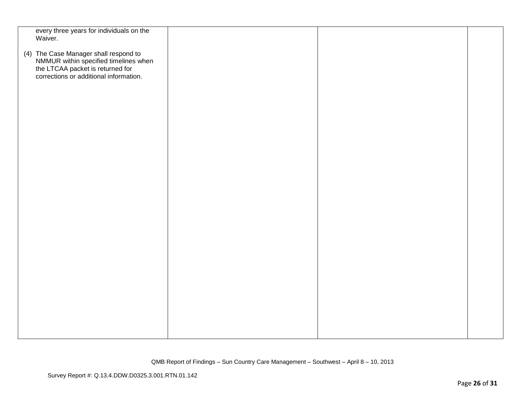| every three years for individuals on the                                                                                                                     |  |  |
|--------------------------------------------------------------------------------------------------------------------------------------------------------------|--|--|
| Waiver.                                                                                                                                                      |  |  |
|                                                                                                                                                              |  |  |
|                                                                                                                                                              |  |  |
| (4) The Case Manager shall respond to<br>NMMUR within specified timelines when<br>the LTCAA packet is returned for<br>corrections or additional information. |  |  |
|                                                                                                                                                              |  |  |
|                                                                                                                                                              |  |  |
|                                                                                                                                                              |  |  |
|                                                                                                                                                              |  |  |
|                                                                                                                                                              |  |  |
|                                                                                                                                                              |  |  |
|                                                                                                                                                              |  |  |
|                                                                                                                                                              |  |  |
|                                                                                                                                                              |  |  |
|                                                                                                                                                              |  |  |
|                                                                                                                                                              |  |  |
|                                                                                                                                                              |  |  |
|                                                                                                                                                              |  |  |
|                                                                                                                                                              |  |  |
|                                                                                                                                                              |  |  |
|                                                                                                                                                              |  |  |
|                                                                                                                                                              |  |  |
|                                                                                                                                                              |  |  |
|                                                                                                                                                              |  |  |
|                                                                                                                                                              |  |  |
|                                                                                                                                                              |  |  |
|                                                                                                                                                              |  |  |
|                                                                                                                                                              |  |  |
|                                                                                                                                                              |  |  |
|                                                                                                                                                              |  |  |
|                                                                                                                                                              |  |  |
|                                                                                                                                                              |  |  |
|                                                                                                                                                              |  |  |
|                                                                                                                                                              |  |  |
|                                                                                                                                                              |  |  |
|                                                                                                                                                              |  |  |
|                                                                                                                                                              |  |  |
|                                                                                                                                                              |  |  |
|                                                                                                                                                              |  |  |
|                                                                                                                                                              |  |  |
|                                                                                                                                                              |  |  |
|                                                                                                                                                              |  |  |
|                                                                                                                                                              |  |  |
|                                                                                                                                                              |  |  |
|                                                                                                                                                              |  |  |
|                                                                                                                                                              |  |  |
|                                                                                                                                                              |  |  |
|                                                                                                                                                              |  |  |
|                                                                                                                                                              |  |  |
|                                                                                                                                                              |  |  |
|                                                                                                                                                              |  |  |
|                                                                                                                                                              |  |  |
|                                                                                                                                                              |  |  |
|                                                                                                                                                              |  |  |
|                                                                                                                                                              |  |  |
|                                                                                                                                                              |  |  |
|                                                                                                                                                              |  |  |
|                                                                                                                                                              |  |  |
|                                                                                                                                                              |  |  |
|                                                                                                                                                              |  |  |
|                                                                                                                                                              |  |  |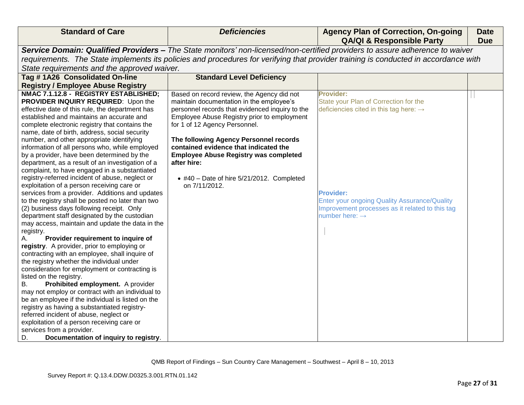| <b>Standard of Care</b>                                                                                                                                                                                                                                                                                                                                                                                                                                                                                                                                                                                                                                                                                                                                                                                                                                                                                                                                                                                                                                                                                                                                                                                                                                                                                                                                                                                                                                                                                                                          | <b>Deficiencies</b>                                                                                                                                                                                                                                                                                                                                                                                                                               | <b>Agency Plan of Correction, On-going</b><br><b>QA/QI &amp; Responsible Party</b>                                                                                                                                                                                          | <b>Date</b><br><b>Due</b> |
|--------------------------------------------------------------------------------------------------------------------------------------------------------------------------------------------------------------------------------------------------------------------------------------------------------------------------------------------------------------------------------------------------------------------------------------------------------------------------------------------------------------------------------------------------------------------------------------------------------------------------------------------------------------------------------------------------------------------------------------------------------------------------------------------------------------------------------------------------------------------------------------------------------------------------------------------------------------------------------------------------------------------------------------------------------------------------------------------------------------------------------------------------------------------------------------------------------------------------------------------------------------------------------------------------------------------------------------------------------------------------------------------------------------------------------------------------------------------------------------------------------------------------------------------------|---------------------------------------------------------------------------------------------------------------------------------------------------------------------------------------------------------------------------------------------------------------------------------------------------------------------------------------------------------------------------------------------------------------------------------------------------|-----------------------------------------------------------------------------------------------------------------------------------------------------------------------------------------------------------------------------------------------------------------------------|---------------------------|
|                                                                                                                                                                                                                                                                                                                                                                                                                                                                                                                                                                                                                                                                                                                                                                                                                                                                                                                                                                                                                                                                                                                                                                                                                                                                                                                                                                                                                                                                                                                                                  |                                                                                                                                                                                                                                                                                                                                                                                                                                                   | Service Domain: Qualified Providers - The State monitors' non-licensed/non-certified providers to assure adherence to waiver                                                                                                                                                |                           |
|                                                                                                                                                                                                                                                                                                                                                                                                                                                                                                                                                                                                                                                                                                                                                                                                                                                                                                                                                                                                                                                                                                                                                                                                                                                                                                                                                                                                                                                                                                                                                  |                                                                                                                                                                                                                                                                                                                                                                                                                                                   | requirements. The State implements its policies and procedures for verifying that provider training is conducted in accordance with                                                                                                                                         |                           |
| State requirements and the approved waiver.                                                                                                                                                                                                                                                                                                                                                                                                                                                                                                                                                                                                                                                                                                                                                                                                                                                                                                                                                                                                                                                                                                                                                                                                                                                                                                                                                                                                                                                                                                      |                                                                                                                                                                                                                                                                                                                                                                                                                                                   |                                                                                                                                                                                                                                                                             |                           |
| Tag #1A26 Consolidated On-line                                                                                                                                                                                                                                                                                                                                                                                                                                                                                                                                                                                                                                                                                                                                                                                                                                                                                                                                                                                                                                                                                                                                                                                                                                                                                                                                                                                                                                                                                                                   | <b>Standard Level Deficiency</b>                                                                                                                                                                                                                                                                                                                                                                                                                  |                                                                                                                                                                                                                                                                             |                           |
| <b>Registry / Employee Abuse Registry</b>                                                                                                                                                                                                                                                                                                                                                                                                                                                                                                                                                                                                                                                                                                                                                                                                                                                                                                                                                                                                                                                                                                                                                                                                                                                                                                                                                                                                                                                                                                        |                                                                                                                                                                                                                                                                                                                                                                                                                                                   |                                                                                                                                                                                                                                                                             |                           |
| NMAC 7.1.12.8 - REGISTRY ESTABLISHED;<br>PROVIDER INQUIRY REQUIRED: Upon the<br>effective date of this rule, the department has<br>established and maintains an accurate and<br>complete electronic registry that contains the<br>name, date of birth, address, social security<br>number, and other appropriate identifying<br>information of all persons who, while employed<br>by a provider, have been determined by the<br>department, as a result of an investigation of a<br>complaint, to have engaged in a substantiated<br>registry-referred incident of abuse, neglect or<br>exploitation of a person receiving care or<br>services from a provider. Additions and updates<br>to the registry shall be posted no later than two<br>(2) business days following receipt. Only<br>department staff designated by the custodian<br>may access, maintain and update the data in the<br>registry.<br>Provider requirement to inquire of<br>registry. A provider, prior to employing or<br>contracting with an employee, shall inquire of<br>the registry whether the individual under<br>consideration for employment or contracting is<br>listed on the registry.<br>Prohibited employment. A provider<br>В.<br>may not employ or contract with an individual to<br>be an employee if the individual is listed on the<br>registry as having a substantiated registry-<br>referred incident of abuse, neglect or<br>exploitation of a person receiving care or<br>services from a provider.<br>Documentation of inquiry to registry.<br>D. | Based on record review, the Agency did not<br>maintain documentation in the employee's<br>personnel records that evidenced inquiry to the<br>Employee Abuse Registry prior to employment<br>for 1 of 12 Agency Personnel.<br>The following Agency Personnel records<br>contained evidence that indicated the<br><b>Employee Abuse Registry was completed</b><br>after hire:<br>$\bullet$ #40 - Date of hire 5/21/2012. Completed<br>on 7/11/2012. | <b>Provider:</b><br>State your Plan of Correction for the<br>deficiencies cited in this tag here: $\rightarrow$<br><b>Provider:</b><br><b>Enter your ongoing Quality Assurance/Quality</b><br>Improvement processes as it related to this tag<br>number here: $\rightarrow$ |                           |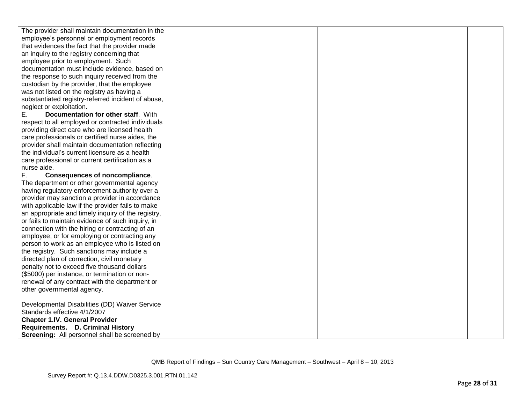| The provider shall maintain documentation in the     |  |  |
|------------------------------------------------------|--|--|
| employee's personnel or employment records           |  |  |
| that evidences the fact that the provider made       |  |  |
| an inquiry to the registry concerning that           |  |  |
| employee prior to employment. Such                   |  |  |
| documentation must include evidence, based on        |  |  |
| the response to such inquiry received from the       |  |  |
| custodian by the provider, that the employee         |  |  |
| was not listed on the registry as having a           |  |  |
| substantiated registry-referred incident of abuse,   |  |  |
| neglect or exploitation.                             |  |  |
| Documentation for other staff. With<br>Е.            |  |  |
| respect to all employed or contracted individuals    |  |  |
| providing direct care who are licensed health        |  |  |
| care professionals or certified nurse aides, the     |  |  |
| provider shall maintain documentation reflecting     |  |  |
| the individual's current licensure as a health       |  |  |
| care professional or current certification as a      |  |  |
| nurse aide.                                          |  |  |
| F.<br><b>Consequences of noncompliance.</b>          |  |  |
| The department or other governmental agency          |  |  |
| having regulatory enforcement authority over a       |  |  |
| provider may sanction a provider in accordance       |  |  |
| with applicable law if the provider fails to make    |  |  |
| an appropriate and timely inquiry of the registry,   |  |  |
| or fails to maintain evidence of such inquiry, in    |  |  |
| connection with the hiring or contracting of an      |  |  |
| employee; or for employing or contracting any        |  |  |
| person to work as an employee who is listed on       |  |  |
| the registry. Such sanctions may include a           |  |  |
| directed plan of correction, civil monetary          |  |  |
| penalty not to exceed five thousand dollars          |  |  |
| (\$5000) per instance, or termination or non-        |  |  |
| renewal of any contract with the department or       |  |  |
| other governmental agency.                           |  |  |
|                                                      |  |  |
| Developmental Disabilities (DD) Waiver Service       |  |  |
| Standards effective 4/1/2007                         |  |  |
| <b>Chapter 1.IV. General Provider</b>                |  |  |
| Requirements. D. Criminal History                    |  |  |
| <b>Screening:</b> All personnel shall be screened by |  |  |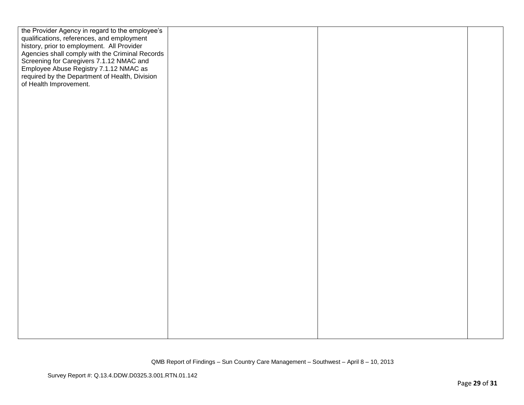| the Provider Agency in regard to the employee's<br>qualifications, references, and employment<br>history, prior to employment. All Provider<br>Agencies shall comply with the Criminal Records<br>Screening for Caregivers 7.1.12 NMAC and<br>Employee Abuse Registry 7.1.12 NMAC as<br>required by the Department of Health, Division<br>of Health Improvement. |  |  |
|------------------------------------------------------------------------------------------------------------------------------------------------------------------------------------------------------------------------------------------------------------------------------------------------------------------------------------------------------------------|--|--|
|                                                                                                                                                                                                                                                                                                                                                                  |  |  |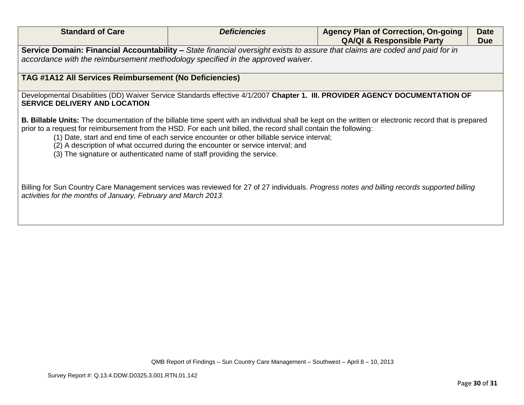| <b>Standard of Care</b>                                                                                                                                                                                        | <b>Deficiencies</b>                                                                                                                                                                                                                                                                                | <b>Agency Plan of Correction, On-going</b>                                                                                                                   | <b>Date</b> |
|----------------------------------------------------------------------------------------------------------------------------------------------------------------------------------------------------------------|----------------------------------------------------------------------------------------------------------------------------------------------------------------------------------------------------------------------------------------------------------------------------------------------------|--------------------------------------------------------------------------------------------------------------------------------------------------------------|-------------|
|                                                                                                                                                                                                                |                                                                                                                                                                                                                                                                                                    | <b>QA/QI &amp; Responsible Party</b>                                                                                                                         | <b>Due</b>  |
|                                                                                                                                                                                                                | Service Domain: Financial Accountability – State financial oversight exists to assure that claims are coded and paid for in                                                                                                                                                                        |                                                                                                                                                              |             |
| accordance with the reimbursement methodology specified in the approved waiver.                                                                                                                                |                                                                                                                                                                                                                                                                                                    |                                                                                                                                                              |             |
| TAG #1A12 All Services Reimbursement (No Deficiencies)                                                                                                                                                         |                                                                                                                                                                                                                                                                                                    |                                                                                                                                                              |             |
| <b>SERVICE DELIVERY AND LOCATION</b>                                                                                                                                                                           |                                                                                                                                                                                                                                                                                                    | Developmental Disabilities (DD) Waiver Service Standards effective 4/1/2007 Chapter 1. III. PROVIDER AGENCY DOCUMENTATION OF                                 |             |
| (3) The signature or authenticated name of staff providing the service.                                                                                                                                        | prior to a request for reimbursement from the HSD. For each unit billed, the record shall contain the following:<br>(1) Date, start and end time of each service encounter or other billable service interval;<br>(2) A description of what occurred during the encounter or service interval; and | <b>B. Billable Units:</b> The documentation of the billable time spent with an individual shall be kept on the written or electronic record that is prepared |             |
| Billing for Sun Country Care Management services was reviewed for 27 of 27 individuals. Progress notes and billing records supported billing<br>activities for the months of January, February and March 2013. |                                                                                                                                                                                                                                                                                                    |                                                                                                                                                              |             |